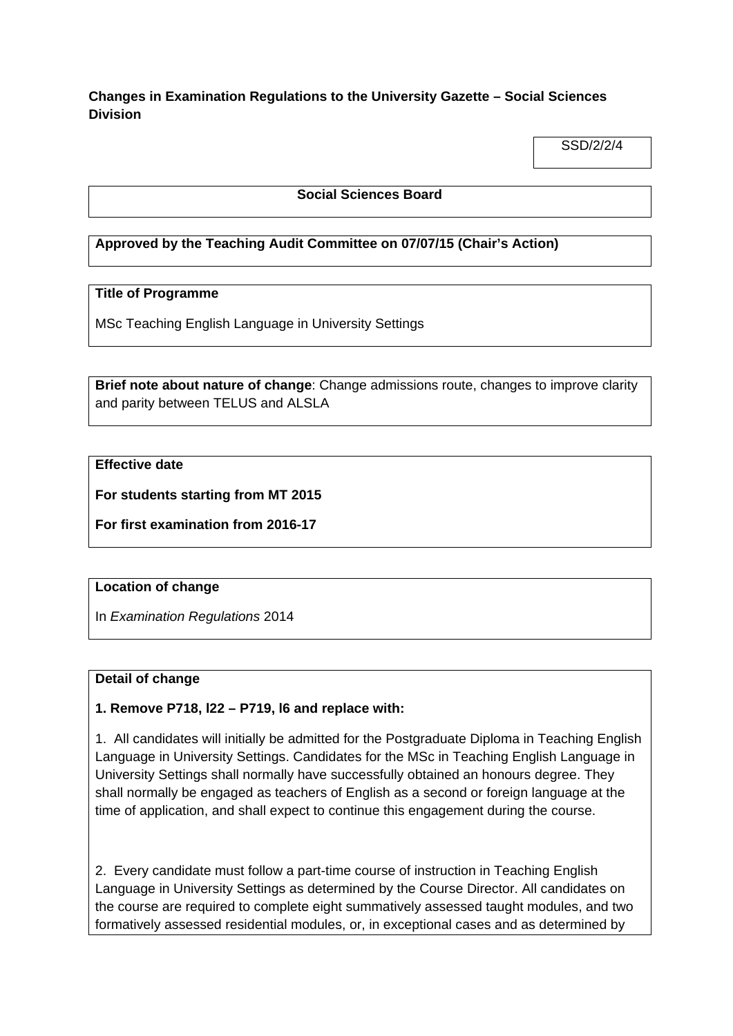**Changes in Examination Regulations to the University Gazette – Social Sciences Division**

SSD/2/2/4

# **Social Sciences Board**

# **Approved by the Teaching Audit Committee on 07/07/15 (Chair's Action)**

# **Title of Programme**

MSc Teaching English Language in University Settings

**Brief note about nature of change**: Change admissions route, changes to improve clarity and parity between TELUS and ALSLA

# **Effective date**

**For students starting from MT 2015**

**For first examination from 2016-17**

#### **Location of change**

In *Examination Regulations* 2014

# **Detail of change**

# **1. Remove P718, l22 – P719, l6 and replace with:**

1. All candidates will initially be admitted for the Postgraduate Diploma in Teaching English Language in University Settings. Candidates for the MSc in Teaching English Language in University Settings shall normally have successfully obtained an honours degree. They shall normally be engaged as teachers of English as a second or foreign language at the time of application, and shall expect to continue this engagement during the course.

2. Every candidate must follow a part-time course of instruction in Teaching English Language in University Settings as determined by the Course Director. All candidates on the course are required to complete eight summatively assessed taught modules, and two formatively assessed residential modules, or, in exceptional cases and as determined by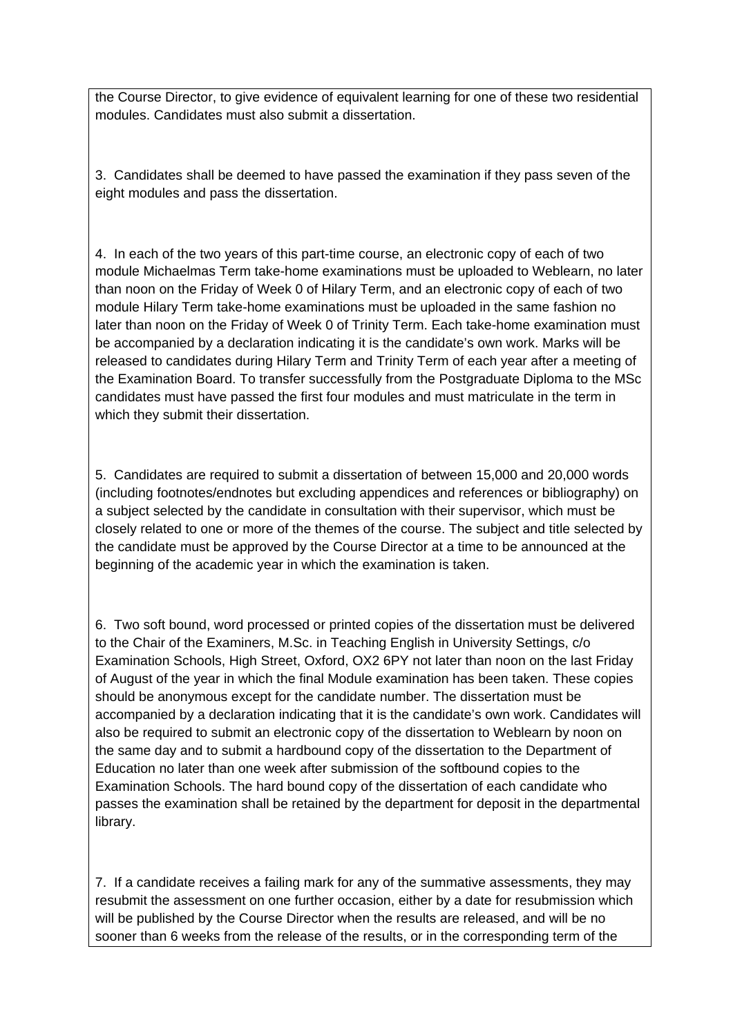the Course Director, to give evidence of equivalent learning for one of these two residential modules. Candidates must also submit a dissertation.

3. Candidates shall be deemed to have passed the examination if they pass seven of the eight modules and pass the dissertation.

4. In each of the two years of this part-time course, an electronic copy of each of two module Michaelmas Term take-home examinations must be uploaded to Weblearn, no later than noon on the Friday of Week 0 of Hilary Term, and an electronic copy of each of two module Hilary Term take-home examinations must be uploaded in the same fashion no later than noon on the Friday of Week 0 of Trinity Term. Each take-home examination must be accompanied by a declaration indicating it is the candidate's own work. Marks will be released to candidates during Hilary Term and Trinity Term of each year after a meeting of the Examination Board. To transfer successfully from the Postgraduate Diploma to the MSc candidates must have passed the first four modules and must matriculate in the term in which they submit their dissertation.

5. Candidates are required to submit a dissertation of between 15,000 and 20,000 words (including footnotes/endnotes but excluding appendices and references or bibliography) on a subject selected by the candidate in consultation with their supervisor, which must be closely related to one or more of the themes of the course. The subject and title selected by the candidate must be approved by the Course Director at a time to be announced at the beginning of the academic year in which the examination is taken.

6. Two soft bound, word processed or printed copies of the dissertation must be delivered to the Chair of the Examiners, M.Sc. in Teaching English in University Settings, c/o Examination Schools, High Street, Oxford, OX2 6PY not later than noon on the last Friday of August of the year in which the final Module examination has been taken. These copies should be anonymous except for the candidate number. The dissertation must be accompanied by a declaration indicating that it is the candidate's own work. Candidates will also be required to submit an electronic copy of the dissertation to Weblearn by noon on the same day and to submit a hardbound copy of the dissertation to the Department of Education no later than one week after submission of the softbound copies to the Examination Schools. The hard bound copy of the dissertation of each candidate who passes the examination shall be retained by the department for deposit in the departmental library.

7. If a candidate receives a failing mark for any of the summative assessments, they may resubmit the assessment on one further occasion, either by a date for resubmission which will be published by the Course Director when the results are released, and will be no sooner than 6 weeks from the release of the results, or in the corresponding term of the